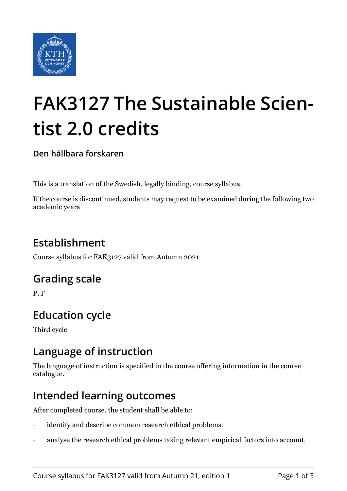

# **FAK3127 The Sustainable Scientist 2.0 credits**

**Den hållbara forskaren**

This is a translation of the Swedish, legally binding, course syllabus.

If the course is discontinued, students may request to be examined during the following two academic years

## **Establishment**

Course syllabus for FAK3127 valid from Autumn 2021

### **Grading scale**

P, F

## **Education cycle**

Third cycle

### **Language of instruction**

The language of instruction is specified in the course offering information in the course catalogue.

### **Intended learning outcomes**

After completed course, the student shall be able to:

- identify and describe common research ethical problems.
- analyse the research ethical problems taking relevant empirical factors into account.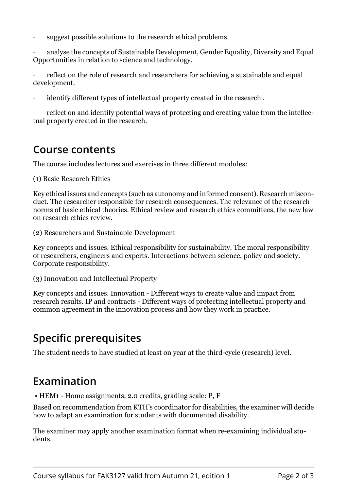suggest possible solutions to the research ethical problems.

analyse the concepts of Sustainable Development, Gender Equality, Diversity and Equal Opportunities in relation to science and technology.

reflect on the role of research and researchers for achieving a sustainable and equal development.

identify different types of intellectual property created in the research.

reflect on and identify potential ways of protecting and creating value from the intellectual property created in the research.

#### **Course contents**

The course includes lectures and exercises in three different modules:

(1) Basic Research Ethics

Key ethical issues and concepts (such as autonomy and informed consent). Research misconduct. The researcher responsible for research consequences. The relevance of the research norms of basic ethical theories. Ethical review and research ethics committees, the new law on research ethics review.

(2) Researchers and Sustainable Development

Key concepts and issues. Ethical responsibility for sustainability. The moral responsibility of researchers, engineers and experts. Interactions between science, policy and society. Corporate responsibility.

-3( Innovation and Intellectual Property·

Key concepts and issues. Innovation - Different ways to create value and impact from research results. IP and contracts - Different ways of protecting intellectual property and common agreement in the innovation process and how they work in practice.

### **Specific prerequisites**

The student needs to have studied at least on year at the third-cycle (research) level.

#### **Examination**

 $\bullet$  HEM1 - Home assignments, 2.0 credits, grading scale: P, F

Based on recommendation from KTH's coordinator for disabilities, the examiner will decide how to adapt an examination for students with documented disability.

The examiner may apply another examination format when re-examining individual students.